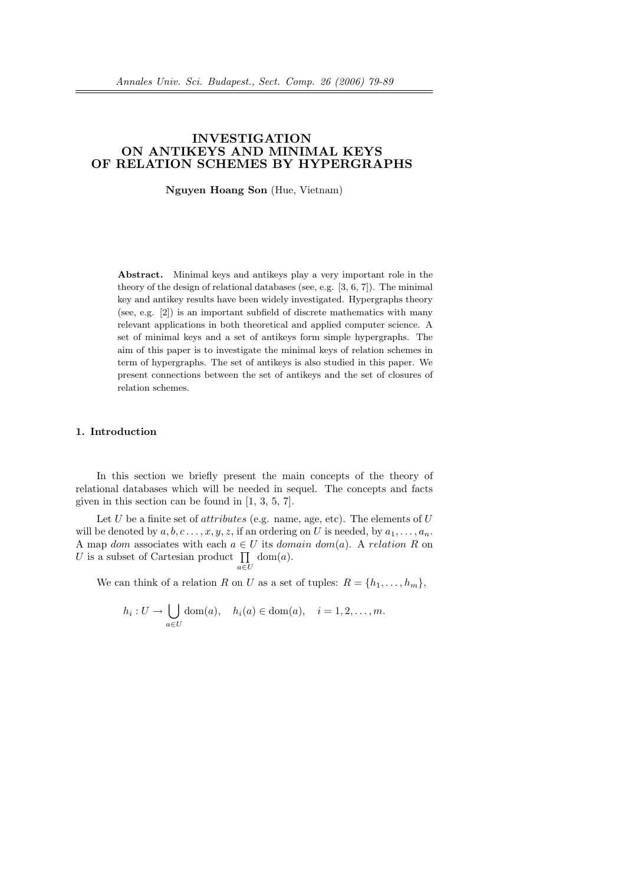# INVESTIGATION ON ANTIKEYS AND MINIMAL KEYS OF RELATION SCHEMES BY HYPERGRAPHS

Nguyen Hoang Son (Hue, Vietnam)

Abstract. Minimal keys and antikeys play a very important role in the theory of the design of relational databases (see, e.g.  $[3, 6, 7]$ ). The minimal key and antikey results have been widely investigated. Hypergraphs theory (see, e.g. [2]) is an important subfield of discrete mathematics with many relevant applications in both theoretical and applied computer science. A set of minimal keys and a set of antikeys form simple hypergraphs. The aim of this paper is to investigate the minimal keys of relation schemes in term of hypergraphs. The set of antikeys is also studied in this paper. We present connections between the set of antikeys and the set of closures of relation schemes.

# 1. Introduction

In this section we briefly present the main concepts of the theory of relational databases which will be needed in sequel. The concepts and facts given in this section can be found in [1, 3, 5, 7].

Let U be a finite set of *attributes* (e.g. name, age, etc). The elements of  $U$ will be denoted by  $a, b, c, \ldots, x, y, z$ , if an ordering on U is needed, by  $a_1, \ldots, a_n$ . A map dom associates with each  $a \in U$  its domain dom(a). A relation R on A map *dom* associates with each  $a \in U$  its *dom*<br>*U* is a subset of Cartesian product  $\prod$  dom(*a*).

a∈U

We can think of a relation R on U as a set of tuples:  $R = \{h_1, \ldots, h_m\},\$ 

$$
h_i: U \to \bigcup_{a \in U} \text{dom}(a), \quad h_i(a) \in \text{dom}(a), \quad i = 1, 2, \dots, m.
$$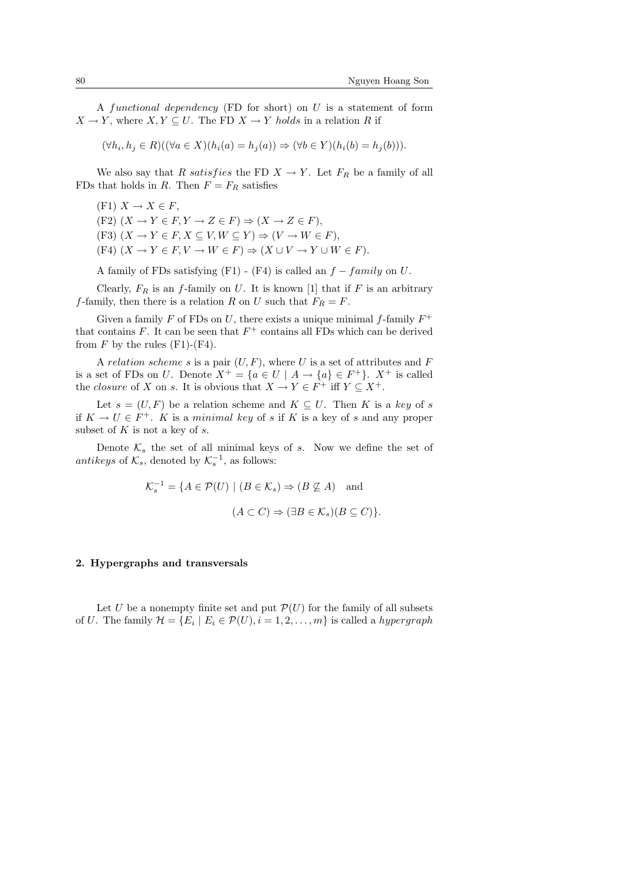A functional dependency (FD for short) on  $U$  is a statement of form  $X \to Y$ , where  $X, Y \subseteq U$ . The FD  $X \to Y$  holds in a relation R if

$$
(\forall h_i, h_j \in R)((\forall a \in X)(h_i(a) = h_j(a)) \Rightarrow (\forall b \in Y)(h_i(b) = h_j(b))).
$$

We also say that R satisfies the FD  $X \to Y$ . Let  $F_R$  be a family of all FDs that holds in R. Then  $F = F_R$  satisfies

 $(F1)$   $X \rightarrow X \in F$ , (F2)  $(X \to Y \in F, Y \to Z \in F) \Rightarrow (X \to Z \in F)$ , (F3)  $(X \to Y \in F, X \subseteq V, W \subseteq Y) \Rightarrow (V \to W \in F)$ .  $(F4)$   $(X \to Y \in F, V \to W \in F) \Rightarrow (X \cup V \to Y \cup W \in F).$ 

A family of FDs satisfying  $(F1) - (F4)$  is called an  $f - family$  on U.

Clearly,  $F_R$  is an f-family on U. It is known [1] that if F is an arbitrary f-family, then there is a relation R on U such that  $F_R = F$ .

Given a family  $F$  of FDs on  $U$ , there exists a unique minimal f-family  $F^+$ that contains  $F$ . It can be seen that  $F^+$  contains all FDs which can be derived from  $F$  by the rules  $(F1)-(F4)$ .

A relation scheme s is a pair  $(U, F)$ , where U is a set of attributes and F is a set of FDs on U. Denote  $X^+ = \{a \in U \mid A \to \{a\} \in F^+\}.$   $X^+$  is called the *closure* of X on s. It is obvious that  $X \to Y \in F^+$  iff  $Y \subseteq X^+$ .

Let  $s = (U, F)$  be a relation scheme and  $K \subseteq U$ . Then K is a key of s if  $K \to U \in F^+$ . K is a minimal key of s if K is a key of s and any proper subset of  $K$  is not a key of  $s$ .

Denote  $\mathcal{K}_s$  the set of all minimal keys of s. Now we define the set of antikeys of  $\mathcal{K}_s$ , denoted by  $\mathcal{K}_s^{-1}$ , as follows:

$$
\mathcal{K}_s^{-1} = \{ A \in \mathcal{P}(U) \mid (B \in \mathcal{K}_s) \Rightarrow (B \nsubseteq A) \text{ and}
$$

$$
(A \subset C) \Rightarrow (\exists B \in \mathcal{K}_s)(B \subseteq C) \}
$$

#### 2. Hypergraphs and transversals

Let U be a nonempty finite set and put  $\mathcal{P}(U)$  for the family of all subsets of U. The family  $\mathcal{H} = \{E_i \mid E_i \in \mathcal{P}(U), i = 1, 2, \dots, m\}$  is called a *hypergraph*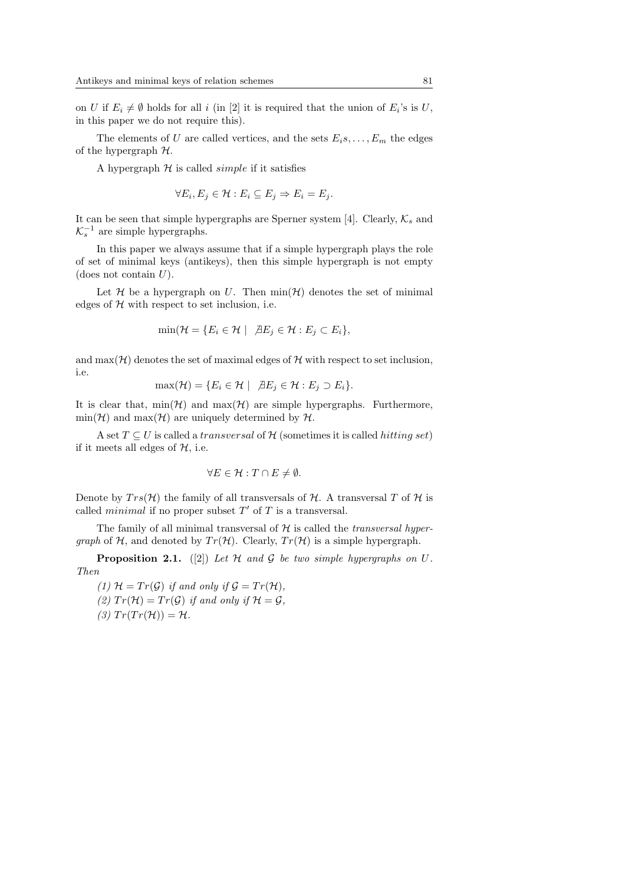on U if  $E_i \neq \emptyset$  holds for all i (in [2] it is required that the union of  $E_i$ 's is U, in this paper we do not require this).

The elements of U are called vertices, and the sets  $E_i$ s, ...,  $E_m$  the edges of the hypergraph  $H$ .

A hypergraph  $H$  is called *simple* if it satisfies

$$
\forall E_i, E_j \in \mathcal{H} : E_i \subseteq E_j \Rightarrow E_i = E_j.
$$

It can be seen that simple hypergraphs are Sperner system [4]. Clearly,  $\mathcal{K}_{s}$  and  $\mathcal{K}_s^{-1}$  are simple hypergraphs.

In this paper we always assume that if a simple hypergraph plays the role of set of minimal keys (antikeys), then this simple hypergraph is not empty (does not contain  $U$ ).

Let  $\mathcal H$  be a hypergraph on U. Then  $\min(\mathcal H)$  denotes the set of minimal edges of  $H$  with respect to set inclusion, i.e.

$$
\min(\mathcal{H} = \{E_i \in \mathcal{H} \mid \, \exists E_j \in \mathcal{H} : E_j \subset E_i\},\
$$

and  $\max(\mathcal{H})$  denotes the set of maximal edges of  $\mathcal H$  with respect to set inclusion, i.e.

$$
\max(\mathcal{H}) = \{ E_i \in \mathcal{H} \mid \exists E_j \in \mathcal{H} : E_j \supset E_i \}.
$$

It is clear that,  $min(\mathcal{H})$  and  $max(\mathcal{H})$  are simple hypergraphs. Furthermore,  $\min(\mathcal{H})$  and  $\max(\mathcal{H})$  are uniquely determined by  $\mathcal{H}$ .

A set  $T \subseteq U$  is called a *transversal* of H (sometimes it is called *hitting set*) if it meets all edges of  $H$ , i.e.

$$
\forall E \in \mathcal{H} : T \cap E \neq \emptyset.
$$

Denote by  $Trs(\mathcal{H})$  the family of all transversals of  $\mathcal{H}$ . A transversal T of  $\mathcal{H}$  is called *minimal* if no proper subset  $T'$  of  $T$  is a transversal.

The family of all minimal transversal of  $H$  is called the *transversal hyper*graph of  $H$ , and denoted by  $Tr(H)$ . Clearly,  $Tr(H)$  is a simple hypergraph.

**Proposition 2.1.** ([2]) Let H and G be two simple hypergraphs on U. Then

(1)  $\mathcal{H} = Tr(\mathcal{G})$  if and only if  $\mathcal{G} = Tr(\mathcal{H})$ , (2)  $Tr(\mathcal{H}) = Tr(\mathcal{G})$  if and only if  $\mathcal{H} = \mathcal{G}$ . (3)  $Tr(Tr(\mathcal{H})) = \mathcal{H}.$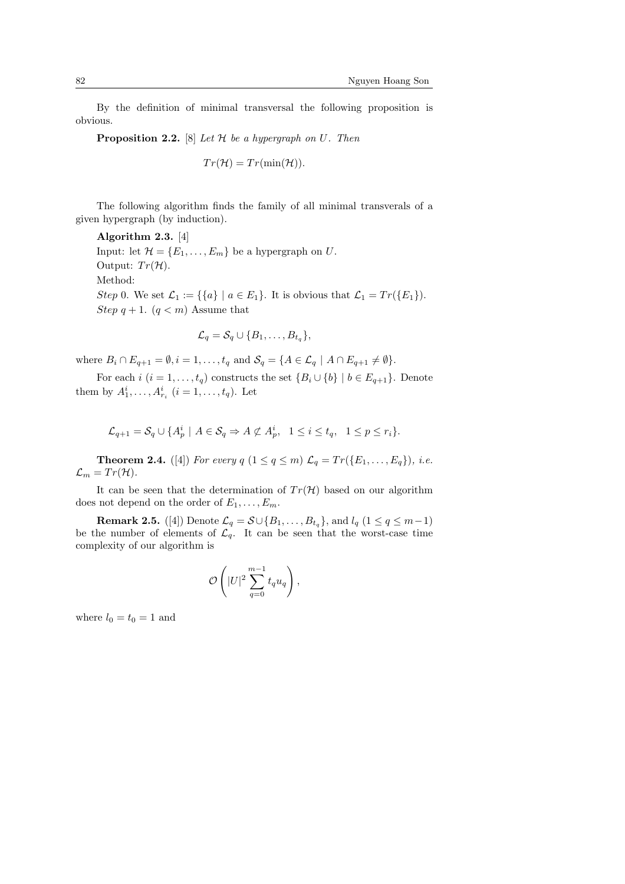By the definition of minimal transversal the following proposition is obvious.

**Proposition 2.2.** [8] Let  $H$  be a hypergraph on U. Then

$$
Tr(\mathcal{H})=Tr(\min(\mathcal{H})).
$$

The following algorithm finds the family of all minimal transverals of a given hypergraph (by induction).

Algorithm 2.3. [4] Input: let  $\mathcal{H} = \{E_1, \ldots, E_m\}$  be a hypergraph on U. Output:  $Tr(\mathcal{H})$ . Method: Step 0. We set  $\mathcal{L}_1 := \{ \{a\} \mid a \in E_1 \}.$  It is obvious that  $\mathcal{L}_1 = Tr(\{E_1\}).$ Step  $q + 1$ .  $(q < m)$  Assume that

$$
\mathcal{L}_q = \mathcal{S}_q \cup \{B_1, \ldots, B_{t_q}\},\
$$

where  $B_i \cap E_{q+1} = \emptyset$ ,  $i = 1, \ldots, t_q$  and  $S_q = \{A \in \mathcal{L}_q \mid A \cap E_{q+1} \neq \emptyset\}.$ 

For each i  $(i = 1, \ldots, t_q)$  constructs the set  $\{B_i \cup \{b\} \mid b \in E_{q+1}\}\)$ . Denote them by  $A_1^i, ..., A_{r_i}^i$   $(i = 1, ..., t_q)$ . Let

$$
\mathcal{L}_{q+1} = \mathcal{S}_q \cup \{ A_p^i \mid A \in \mathcal{S}_q \Rightarrow A \not\subset A_p^i, \quad 1 \le i \le t_q, \quad 1 \le p \le r_i \}.
$$

**Theorem 2.4.** ([4]) For every  $q$   $(1 \leq q \leq m)$   $\mathcal{L}_q = Tr(\{E_1, ..., E_q\})$ , i.e.  $\mathcal{L}_m = Tr(\mathcal{H}).$ 

It can be seen that the determination of  $Tr(\mathcal{H})$  based on our algorithm does not depend on the order of  $E_1, \ldots, E_m$ .

**Remark 2.5.** ([4]) Denote  $\mathcal{L}_q = \mathcal{S} \cup \{B_1, \ldots, B_{t_q}\}$ , and  $l_q$   $(1 \leq q \leq m-1)$ be the number of elements of  $\mathcal{L}_q$ . It can be seen that the worst-case time complexity of our algorithm is

$$
\mathcal{O}\left(|U|^2\sum_{q=0}^{m-1}t_qu_q\right),
$$

where  $l_0 = t_0 = 1$  and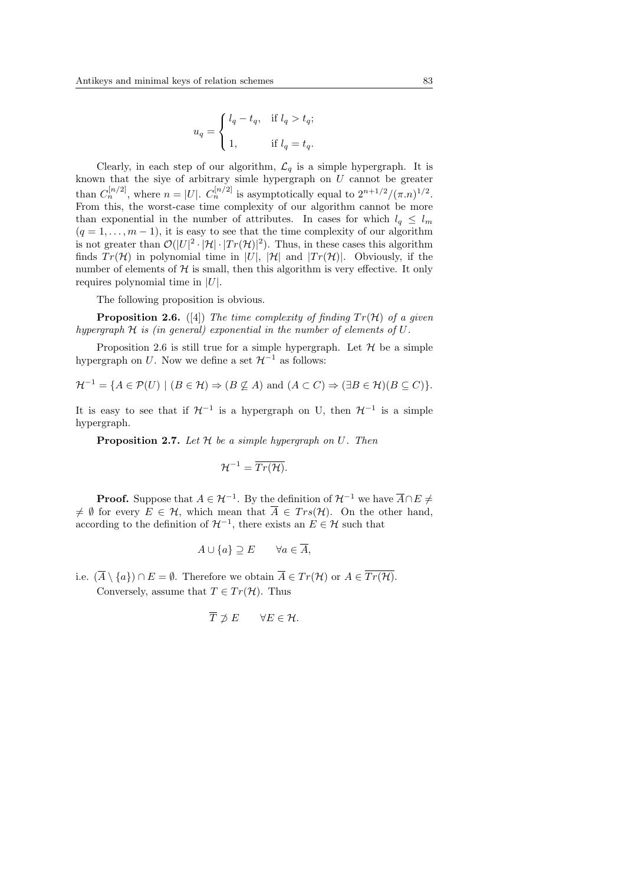$$
u_q = \begin{cases} l_q - t_q, & \text{if } l_q > t_q; \\ \\ 1, & \text{if } l_q = t_q. \end{cases}
$$

Clearly, in each step of our algorithm,  $\mathcal{L}_q$  is a simple hypergraph. It is known that the siye of arbitrary simle hypergraph on  $U$  cannot be greater than  $C_n^{[n/2]}$ , where  $n = |U|$ .  $C_n^{[n/2]}$  is asymptotically equal to  $2^{n+1/2}/(\pi.n)^{1/2}$ . From this, the worst-case time complexity of our algorithm cannot be more than exponential in the number of attributes. In cases for which  $l_q \leq l_m$  $(q = 1, \ldots, m - 1)$ , it is easy to see that the time complexity of our algorithm is not greater than  $\mathcal{O}(|U|^2 \cdot |\mathcal{H}| \cdot |Tr(\mathcal{H})|^2)$ . Thus, in these cases this algorithm finds  $Tr(\mathcal{H})$  in polynomial time in |U|,  $|\mathcal{H}|$  and  $|Tr(\mathcal{H})|$ . Obviously, if the number of elements of  $\mathcal H$  is small, then this algorithm is very effective. It only requires polynomial time in  $|U|$ .

The following proposition is obvious.

**Proposition 2.6.** ([4]) The time complexity of finding  $Tr(\mathcal{H})$  of a given hypergraph  $H$  is (in general) exponential in the number of elements of  $U$ .

Proposition 2.6 is still true for a simple hypergraph. Let  $\mathcal H$  be a simple hypergraph on U. Now we define a set  $\mathcal{H}^{-1}$  as follows:

$$
\mathcal{H}^{-1} = \{ A \in \mathcal{P}(U) \mid (B \in \mathcal{H}) \Rightarrow (B \nsubseteq A) \text{ and } (A \subset C) \Rightarrow (\exists B \in \mathcal{H})(B \subseteq C) \}.
$$

It is easy to see that if  $\mathcal{H}^{-1}$  is a hypergraph on U, then  $\mathcal{H}^{-1}$  is a simple hypergraph.

**Proposition 2.7.** Let  $H$  be a simple hypergraph on  $U$ . Then

$$
\mathcal{H}^{-1}=\overline{Tr(\mathcal{H})}.
$$

**Proof.** Suppose that  $A \in \mathcal{H}^{-1}$ . By the definition of  $\mathcal{H}^{-1}$  we have  $\overline{A} \cap E \neq$  $\neq \emptyset$  for every  $E \in \mathcal{H}$ , which mean that  $\overline{A} \in Trs(\mathcal{H})$ . On the other hand, according to the definition of  $\mathcal{H}^{-1}$ , there exists an  $E \in \mathcal{H}$  such that

$$
A \cup \{a\} \supseteq E \qquad \forall a \in \overline{A},
$$

i.e.  $(\overline{A} \setminus \{a\}) \cap E = \emptyset$ . Therefore we obtain  $\overline{A} \in Tr(\mathcal{H})$  or  $A \in \overline{Tr(\mathcal{H})}$ .

Conversely, assume that  $T \in Tr(\mathcal{H})$ . Thus

$$
\overline{T} \not\supset E \qquad \forall E \in \mathcal{H}.
$$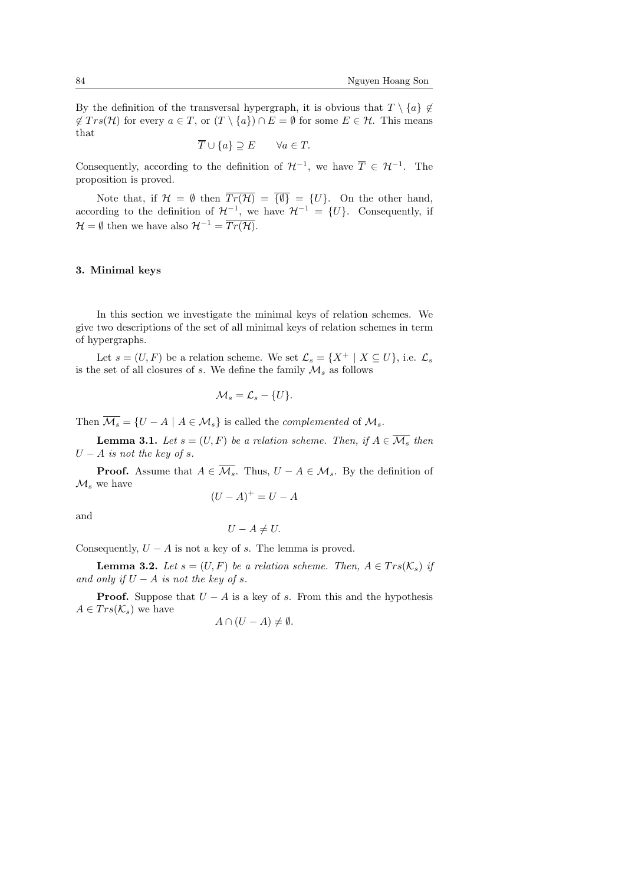By the definition of the transversal hypergraph, it is obvious that  $T \setminus \{a\} \notin$ ∉  $Trs(\mathcal{H})$  for every  $a \in T$ , or  $(T \setminus \{a\}) \cap E = \emptyset$  for some  $E \in \mathcal{H}$ . This means that

$$
\overline{T} \cup \{a\} \supseteq E \qquad \forall a \in T.
$$

Consequently, according to the definition of  $\mathcal{H}^{-1}$ , we have  $\overline{T} \in \mathcal{H}^{-1}$ . The proposition is proved.

Note that, if  $\mathcal{H} = \emptyset$  then  $\overline{Tr(\mathcal{H})} = \overline{\{\emptyset\}} = \{U\}$ . On the other hand, according to the definition of  $\mathcal{H}^{-1}$ , we have  $\mathcal{H}^{-1} = \{U\}$ . Consequently, if  $\mathcal{H} = \emptyset$  then we have also  $\mathcal{H}^{-1} = \overline{Tr(\mathcal{H})}.$ 

#### 3. Minimal keys

In this section we investigate the minimal keys of relation schemes. We give two descriptions of the set of all minimal keys of relation schemes in term of hypergraphs.

Let  $s = (U, F)$  be a relation scheme. We set  $\mathcal{L}_s = \{X^+ | X \subseteq U\}$ , i.e.  $\mathcal{L}_s$ is the set of all closures of s. We define the family  $\mathcal{M}_s$  as follows

$$
\mathcal{M}_s = \mathcal{L}_s - \{U\}.
$$

Then  $\overline{\mathcal{M}_s} = \{U - A \mid A \in \mathcal{M}_s\}$  is called the *complemented* of  $\mathcal{M}_s$ .

**Lemma 3.1.** Let  $s = (U, F)$  be a relation scheme. Then, if  $A \in \overline{\mathcal{M}_{\circ}}$  then  $U - A$  is not the key of s.

**Proof.** Assume that  $A \in \overline{\mathcal{M}_s}$ . Thus,  $U - A \in \mathcal{M}_s$ . By the definition of  $\mathcal{M}_s$  we have

$$
(U - A)^+ = U - A
$$

and

$$
U - A \neq U.
$$

Consequently,  $U - A$  is not a key of s. The lemma is proved.

**Lemma 3.2.** Let  $s = (U, F)$  be a relation scheme. Then,  $A \in Trs(\mathcal{K}_s)$  if and only if  $U - A$  is not the key of s.

**Proof.** Suppose that  $U - A$  is a key of s. From this and the hypothesis  $A \in Trs(\mathcal{K}_s)$  we have

$$
A \cap (U - A) \neq \emptyset.
$$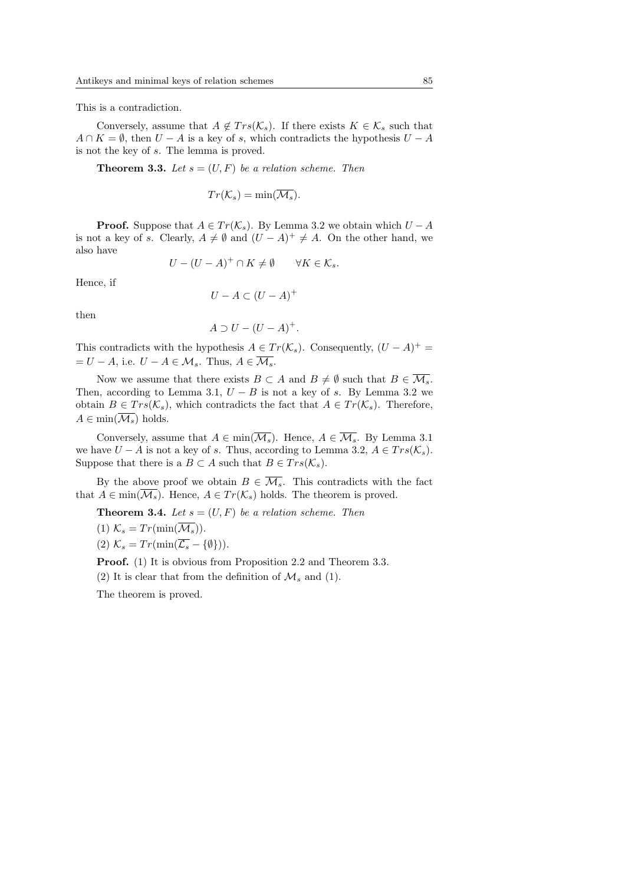This is a contradiction.

Conversely, assume that  $A \notin Trs(\mathcal{K}_s)$ . If there exists  $K \in \mathcal{K}_s$  such that  $A \cap K = \emptyset$ , then  $U - A$  is a key of s, which contradicts the hypothesis  $U - A$ is not the key of s. The lemma is proved.

**Theorem 3.3.** Let  $s = (U, F)$  be a relation scheme. Then

$$
Tr(\mathcal{K}_s) = \min(\overline{\mathcal{M}_s}).
$$

**Proof.** Suppose that  $A \in Tr(\mathcal{K}_s)$ . By Lemma 3.2 we obtain which  $U - A$ is not a key of s. Clearly,  $A \neq \emptyset$  and  $(U - A)^{+} \neq A$ . On the other hand, we also have

$$
U - (U - A)^+ \cap K \neq \emptyset \qquad \forall K \in \mathcal{K}_s.
$$

Hence, if

$$
U - A \subset (U - A)^+
$$

then

$$
A \supset U - (U - A)^+.
$$

This contradicts with the hypothesis  $A \in Tr(\mathcal{K}_s)$ . Consequently,  $(U - A)^+$  $= U - A$ , i.e.  $U - A \in \mathcal{M}_s$ . Thus,  $A \in \overline{\mathcal{M}_s}$ .

Now we assume that there exists  $B \subset A$  and  $B \neq \emptyset$  such that  $B \in \overline{\mathcal{M}_s}$ . Then, according to Lemma 3.1,  $U - B$  is not a key of s. By Lemma 3.2 we obtain  $B \in Trs(\mathcal{K}_s)$ , which contradicts the fact that  $A \in Tr(\mathcal{K}_s)$ . Therefore,  $A \in min(\overline{\mathcal{M}_s})$  holds.

Conversely, assume that  $A \in \min(\overline{\mathcal{M}_s})$ . Hence,  $A \in \overline{\mathcal{M}_s}$ . By Lemma 3.1 we have  $U - A$  is not a key of s. Thus, according to Lemma 3.2,  $A \in Trs(\mathcal{K}_s)$ . Suppose that there is a  $B \subset A$  such that  $B \in Trs(\mathcal{K}_s)$ .

By the above proof we obtain  $B \in \overline{\mathcal{M}_s}$ . This contradicts with the fact that  $A \in \min(\overline{\mathcal{M}_s})$ . Hence,  $A \in Tr(\mathcal{K}_s)$  holds. The theorem is proved.

**Theorem 3.4.** Let  $s = (U, F)$  be a relation scheme. Then

- (1)  $\mathcal{K}_s = Tr(\min(\overline{\mathcal{M}_s}))$ .
- (2)  $\mathcal{K}_s = Tr(\min(\overline{\mathcal{L}_s} {\emptyset}).$

Proof. (1) It is obvious from Proposition 2.2 and Theorem 3.3.

(2) It is clear that from the definition of  $\mathcal{M}_s$  and (1).

The theorem is proved.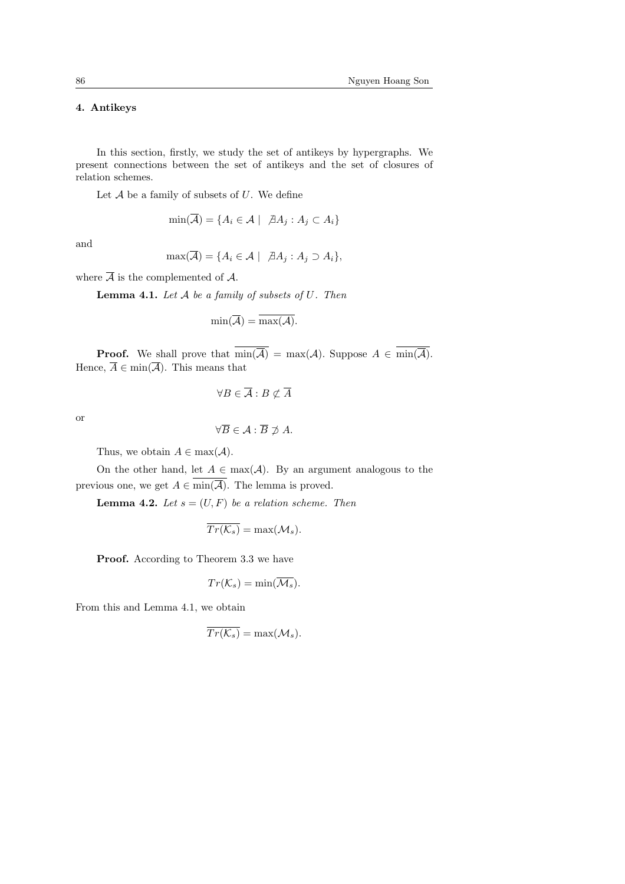# 4. Antikeys

In this section, firstly, we study the set of antikeys by hypergraphs. We present connections between the set of antikeys and the set of closures of relation schemes.

Let  $A$  be a family of subsets of  $U$ . We define

$$
\min(\overline{\mathcal{A}}) = \{ A_i \in \mathcal{A} \mid \ \nexists A_j : A_j \subset A_i \}
$$

and

$$
\max(\overline{\mathcal{A}}) = \{ A_i \in \mathcal{A} \mid \ \forall A_j : A_j \supset A_i \},
$$

where  $\overline{A}$  is the complemented of A.

**Lemma 4.1.** Let  $A$  be a family of subsets of  $U$ . Then

$$
\min(\overline{\mathcal{A}}) = \overline{\max(\mathcal{A})}.
$$

**Proof.** We shall prove that  $\overline{\min(\overline{A})} = \max(A)$ . Suppose  $A \in \overline{\min(\overline{A})}$ . Hence,  $\overline{A} \in \min(\overline{A})$ . This means that

$$
\forall B \in \overline{\mathcal{A}} : B \not\subset \overline{A}
$$

or

 $\forall \overline{B} \in \mathcal{A} : \overline{B} \not\supset A$ .

Thus, we obtain  $A \in \max(A)$ .

On the other hand, let  $A \in \max(\mathcal{A})$ . By an argument analogous to the previous one, we get  $A \in \min(\overline{A})$ . The lemma is proved.

**Lemma 4.2.** Let  $s = (U, F)$  be a relation scheme. Then

$$
\overline{Tr(\mathcal{K}_s)} = \max(\mathcal{M}_s).
$$

Proof. According to Theorem 3.3 we have

$$
Tr(\mathcal{K}_s)=\min(\overline{\mathcal{M}_s}).
$$

From this and Lemma 4.1, we obtain

$$
\overline{Tr(\mathcal{K}_s)} = \max(\mathcal{M}_s).
$$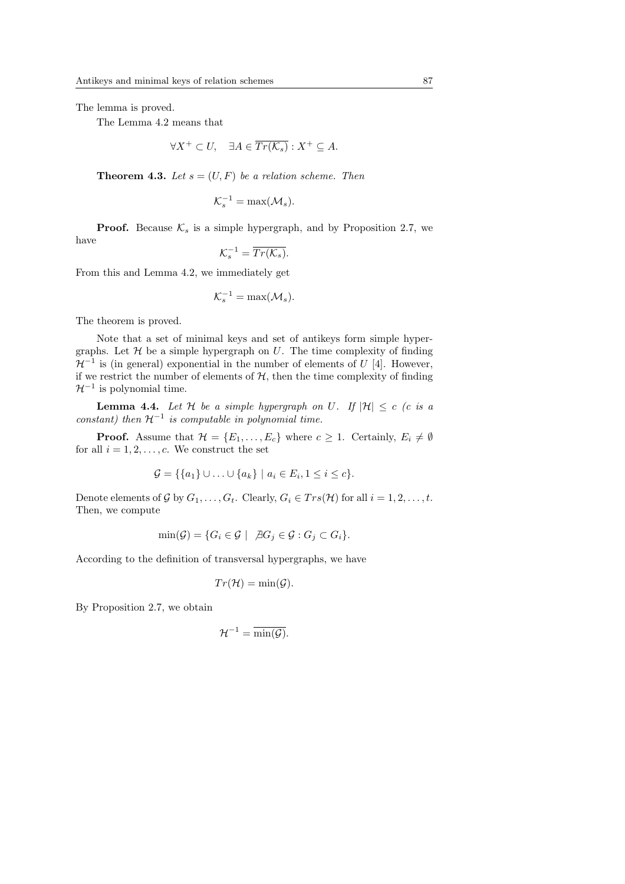The lemma is proved.

The Lemma 4.2 means that

$$
\forall X^+ \subset U, \quad \exists A \in \overline{Tr(\mathcal{K}_s)} : X^+ \subseteq A.
$$

**Theorem 4.3.** Let  $s = (U, F)$  be a relation scheme. Then

$$
\mathcal{K}_s^{-1} = \max(\mathcal{M}_s).
$$

**Proof.** Because  $\mathcal{K}_s$  is a simple hypergraph, and by Proposition 2.7, we have

$$
\mathcal{K}_s^{-1} = \overline{Tr(\mathcal{K}_s)}.
$$

From this and Lemma 4.2, we immediately get

$$
\mathcal{K}_s^{-1} = \max(\mathcal{M}_s).
$$

The theorem is proved.

Note that a set of minimal keys and set of antikeys form simple hypergraphs. Let  $\mathcal H$  be a simple hypergraph on U. The time complexity of finding  $\mathcal{H}^{-1}$  is (in general) exponential in the number of elements of U [4]. However, if we restrict the number of elements of  $H$ , then the time complexity of finding  $\mathcal{H}^{-1}$  is polynomial time.

**Lemma 4.4.** Let  $H$  be a simple hypergraph on U. If  $|H| \leq c$  (c is a constant) then  $\mathcal{H}^{-1}$  is computable in polynomial time.

**Proof.** Assume that  $\mathcal{H} = \{E_1, \ldots, E_c\}$  where  $c \geq 1$ . Certainly,  $E_i \neq \emptyset$ for all  $i = 1, 2, \ldots, c$ . We construct the set

$$
\mathcal{G} = \{ \{a_1\} \cup \ldots \cup \{a_k\} \mid a_i \in E_i, 1 \leq i \leq c \}.
$$

Denote elements of G by  $G_1, \ldots, G_t$ . Clearly,  $G_i \in Trs(\mathcal{H})$  for all  $i = 1, 2, \ldots, t$ . Then, we compute

$$
\min(\mathcal{G}) = \{ G_i \in \mathcal{G} \mid \ \nexists G_j \in \mathcal{G} : G_j \subset G_i \}.
$$

According to the definition of transversal hypergraphs, we have

$$
Tr(\mathcal{H}) = \min(\mathcal{G}).
$$

By Proposition 2.7, we obtain

$$
\mathcal{H}^{-1} = \overline{\min(\mathcal{G})}.
$$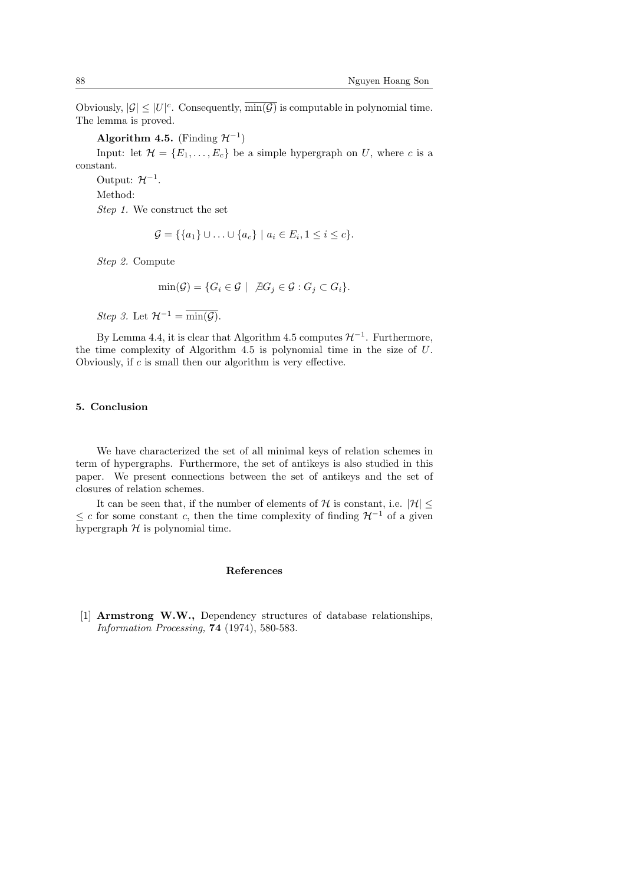Obviously,  $|\mathcal{G}| \leq |U|^c$ . Consequently,  $\overline{\min(\mathcal{G})}$  is computable in polynomial time. The lemma is proved.

Algorithm 4.5. (Finding  $\mathcal{H}^{-1}$ )

Input: let  $\mathcal{H} = \{E_1, \ldots, E_c\}$  be a simple hypergraph on U, where c is a constant.

Output:  $\mathcal{H}^{-1}$ . Method: Step 1. We construct the set

$$
\mathcal{G} = \{ \{a_1\} \cup \ldots \cup \{a_c\} \mid a_i \in E_i, 1 \leq i \leq c \}.
$$

Step 2. Compute

$$
\min(\mathcal{G}) = \{ G_i \in \mathcal{G} \mid \ \nexists G_j \in \mathcal{G} : G_j \subset G_i \}.
$$

Step 3. Let  $\mathcal{H}^{-1} = \overline{\min(\mathcal{G})}.$ 

By Lemma 4.4, it is clear that Algorithm 4.5 computes  $\mathcal{H}^{-1}$ . Furthermore, the time complexity of Algorithm 4.5 is polynomial time in the size of  $U$ . Obviously, if c is small then our algorithm is very effective.

## 5. Conclusion

We have characterized the set of all minimal keys of relation schemes in term of hypergraphs. Furthermore, the set of antikeys is also studied in this paper. We present connections between the set of antikeys and the set of closures of relation schemes.

It can be seen that, if the number of elements of H is constant, i.e.  $|\mathcal{H}|$  <  $\leq$  c for some constant c, then the time complexity of finding  $\mathcal{H}^{-1}$  of a given hypergraph  $H$  is polynomial time.

### References

[1] Armstrong W.W., Dependency structures of database relationships, Information Processing, 74 (1974), 580-583.